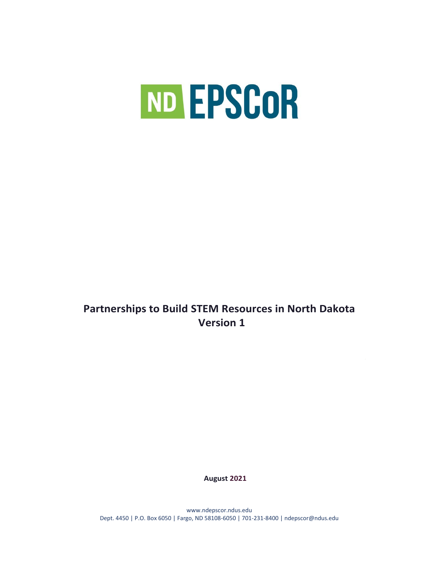

# **Partnerships to Build STEM Resources in North Dakota Version 1**

**August 2021**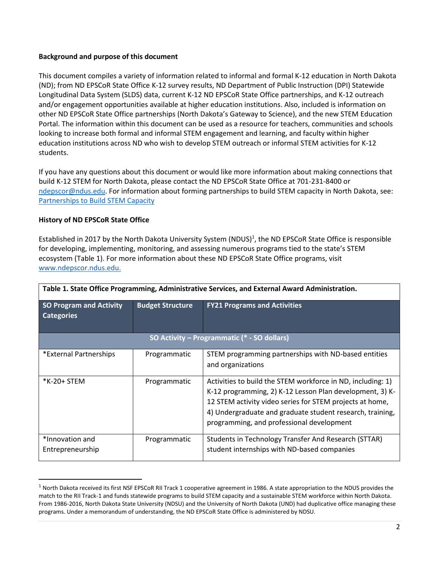# **Background and purpose of this document**

This document compiles a variety of information related to informal and formal K-12 education in North Dakota (ND); from ND EPSCoR State Office K-12 survey results, ND Department of Public Instruction (DPI) Statewide Longitudinal Data System (SLDS) data, current K-12 ND EPSCoR State Office partnerships, and K-12 outreach and/or engagement opportunities available at higher education institutions. Also, included is information on other ND EPSCoR State Office partnerships (North Dakota's Gateway to Science), and the new STEM Education Portal. The information within this document can be used as a resource for teachers, communities and schools looking to increase both formal and informal STEM engagement and learning, and faculty within higher education institutions across ND who wish to develop STEM outreach or informal STEM activities for K-12 students.

If you have any questions about this document or would like more information about making connections that build K-12 STEM for North Dakota, please contact the ND EPSCoR State Office at 701-231-8400 or [ndepscor@ndus.edu.](mailto:ndepscor@ndus.edu) For information about forming partnerships to build STEM capacity in North Dakota, see: [Partnerships to Build STEM Capacity](https://www.ndepscor.ndus.edu/serving-our-state/partnershipstobuildstemcapacity/)

# **History of ND EPSCoR State Office**

l

Established in 2017 by the North Dakota University System (NDUS)<sup>1</sup>, the ND EPSCoR State Office is responsible for developing, implementing, monitoring, and assessing numerous programs tied to the state's STEM ecosystem (Table 1). For more information about these ND EPSCoR State Office programs, visit [www.ndepscor.ndus.edu.](http://www.ndepscor.ndus.edu/)

| Table 1. State Office Programming, Administrative Services, and External Award Administration. |                         |                                                                                                                                                                                                                                                                                               |  |
|------------------------------------------------------------------------------------------------|-------------------------|-----------------------------------------------------------------------------------------------------------------------------------------------------------------------------------------------------------------------------------------------------------------------------------------------|--|
| <b>SO Program and Activity</b><br><b>Categories</b>                                            | <b>Budget Structure</b> | <b>FY21 Programs and Activities</b>                                                                                                                                                                                                                                                           |  |
| SO Activity - Programmatic (* - SO dollars)                                                    |                         |                                                                                                                                                                                                                                                                                               |  |
| *External Partnerships                                                                         | Programmatic            | STEM programming partnerships with ND-based entities<br>and organizations                                                                                                                                                                                                                     |  |
| *K-20+ STEM                                                                                    | Programmatic            | Activities to build the STEM workforce in ND, including: 1)<br>K-12 programming, 2) K-12 Lesson Plan development, 3) K-<br>12 STEM activity video series for STEM projects at home,<br>4) Undergraduate and graduate student research, training,<br>programming, and professional development |  |
| *Innovation and<br>Entrepreneurship                                                            | Programmatic            | Students in Technology Transfer And Research (STTAR)<br>student internships with ND-based companies                                                                                                                                                                                           |  |

<sup>&</sup>lt;sup>1</sup> North Dakota received its first NSF EPSCoR RII Track 1 cooperative agreement in 1986. A state appropriation to the NDUS provides the match to the RII Track-1 and funds statewide programs to build STEM capacity and a sustainable STEM workforce within North Dakota. From 1986-2016, North Dakota State University (NDSU) and the University of North Dakota (UND) had duplicative office managing these programs. Under a memorandum of understanding, the ND EPSCoR State Office is administered by NDSU.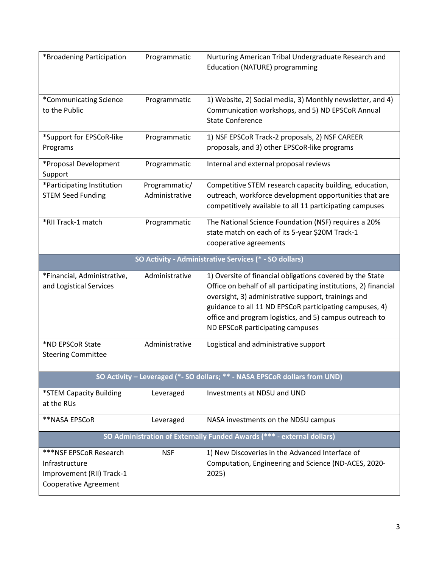| *Broadening Participation                                                                             | Programmatic                    | Nurturing American Tribal Undergraduate Research and<br>Education (NATURE) programming                                                                                                                                                                                                                                                         |  |
|-------------------------------------------------------------------------------------------------------|---------------------------------|------------------------------------------------------------------------------------------------------------------------------------------------------------------------------------------------------------------------------------------------------------------------------------------------------------------------------------------------|--|
| *Communicating Science<br>to the Public                                                               | Programmatic                    | 1) Website, 2) Social media, 3) Monthly newsletter, and 4)<br>Communication workshops, and 5) ND EPSCoR Annual<br><b>State Conference</b>                                                                                                                                                                                                      |  |
| *Support for EPSCoR-like<br>Programs                                                                  | Programmatic                    | 1) NSF EPSCoR Track-2 proposals, 2) NSF CAREER<br>proposals, and 3) other EPSCoR-like programs                                                                                                                                                                                                                                                 |  |
| *Proposal Development<br>Support                                                                      | Programmatic                    | Internal and external proposal reviews                                                                                                                                                                                                                                                                                                         |  |
| *Participating Institution<br><b>STEM Seed Funding</b>                                                | Programmatic/<br>Administrative | Competitive STEM research capacity building, education,<br>outreach, workforce development opportunities that are<br>competitively available to all 11 participating campuses                                                                                                                                                                  |  |
| *RII Track-1 match                                                                                    | Programmatic                    | The National Science Foundation (NSF) requires a 20%<br>state match on each of its 5-year \$20M Track-1<br>cooperative agreements                                                                                                                                                                                                              |  |
|                                                                                                       |                                 | SO Activity - Administrative Services (* - SO dollars)                                                                                                                                                                                                                                                                                         |  |
| *Financial, Administrative,<br>and Logistical Services                                                | Administrative                  | 1) Oversite of financial obligations covered by the State<br>Office on behalf of all participating institutions, 2) financial<br>oversight, 3) administrative support, trainings and<br>guidance to all 11 ND EPSCoR participating campuses, 4)<br>office and program logistics, and 5) campus outreach to<br>ND EPSCoR participating campuses |  |
| *ND EPSCoR State<br><b>Steering Committee</b>                                                         | Administrative                  | Logistical and administrative support                                                                                                                                                                                                                                                                                                          |  |
|                                                                                                       |                                 | SO Activity - Leveraged (*- SO dollars; ** - NASA EPSCoR dollars from UND)                                                                                                                                                                                                                                                                     |  |
| *STEM Capacity Building<br>at the RUs                                                                 | Leveraged                       | Investments at NDSU and UND                                                                                                                                                                                                                                                                                                                    |  |
| **NASA EPSCoR                                                                                         | Leveraged                       | NASA investments on the NDSU campus                                                                                                                                                                                                                                                                                                            |  |
| SO Administration of Externally Funded Awards (*** - external dollars)                                |                                 |                                                                                                                                                                                                                                                                                                                                                |  |
| ***NSF EPSCoR Research<br>Infrastructure<br>Improvement (RII) Track-1<br><b>Cooperative Agreement</b> | <b>NSF</b>                      | 1) New Discoveries in the Advanced Interface of<br>Computation, Engineering and Science (ND-ACES, 2020-<br>2025)                                                                                                                                                                                                                               |  |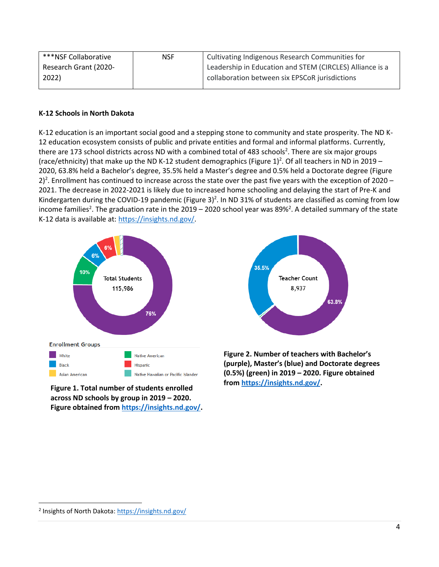| ***NSF Collaborative  | <b>NSF</b> | Cultivating Indigenous Research Communities for          |
|-----------------------|------------|----------------------------------------------------------|
| Research Grant (2020- |            | Leadership in Education and STEM (CIRCLES) Alliance is a |
| 2022)                 |            | collaboration between six EPSCoR jurisdictions           |

# **K-12 Schools in North Dakota**

K-12 education is an important social good and a stepping stone to community and state prosperity. The ND K-12 education ecosystem consists of public and private entities and formal and informal platforms. Currently, there are 173 school districts across ND with a combined total of 483 schools<sup>2</sup>. There are six major groups (race/ethnicity) that make up the ND K-12 student demographics (Figure 1) 2 . Of all teachers in ND in 2019 – 2020, 63.8% held a Bachelor's degree, 35.5% held a Master's degree and 0.5% held a Doctorate degree (Figure 2)<sup>2</sup>. Enrollment has continued to increase across the state over the past five years with the exception of 2020 – 2021. The decrease in 2022-2021 is likely due to increased home schooling and delaying the start of Pre-K and Kindergarten during the COVID-19 pandemic (Figure 3)<sup>2</sup>. In ND 31% of students are classified as coming from low income families<sup>2</sup>. The graduation rate in the 2019 – 2020 school year was 89%<sup>2</sup>. A detailed summary of the state K-12 data is available at: [https://insights.nd.gov/.](https://insights.nd.gov/)



**Figure 1. Total number of students enrolled across ND schools by group in 2019 – 2020. Figure obtained fro[m https://insights.nd.gov/.](https://insights.nd.gov/)** 



**Figure 2. Number of teachers with Bachelor's (purple), Master's (blue) and Doctorate degrees (0.5%) (green) in 2019 – 2020. Figure obtained from [https://insights.nd.gov/.](https://insights.nd.gov/)** 

 $\overline{\phantom{a}}$ 

<sup>&</sup>lt;sup>2</sup> Insights of North Dakota[: https://insights.nd.gov/](https://insights.nd.gov/)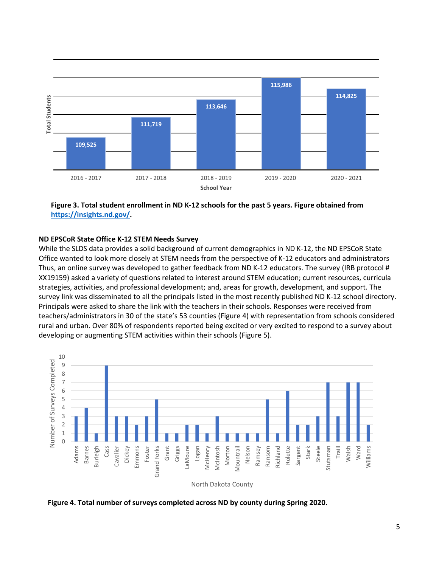

**Figure 3. Total student enrollment in ND K-12 schools for the past 5 years. Figure obtained from [https://insights.nd.gov/.](https://insights.nd.gov/)**

#### **ND EPSCoR State Office K-12 STEM Needs Survey**

While the SLDS data provides a solid background of current demographics in ND K-12, the ND EPSCoR State Office wanted to look more closely at STEM needs from the perspective of K-12 educators and administrators Thus, an online survey was developed to gather feedback from ND K-12 educators. The survey (IRB protocol # XX19159) asked a variety of questions related to interest around STEM education; current resources, curricula strategies, activities, and professional development; and, areas for growth, development, and support. The survey link was disseminated to all the principals listed in the most recently published ND K-12 school directory. Principals were asked to share the link with the teachers in their schools. Responses were received from teachers/administrators in 30 of the state's 53 counties (Figure 4) with representation from schools considered rural and urban. Over 80% of respondents reported being excited or very excited to respond to a survey about developing or augmenting STEM activities within their schools (Figure 5).



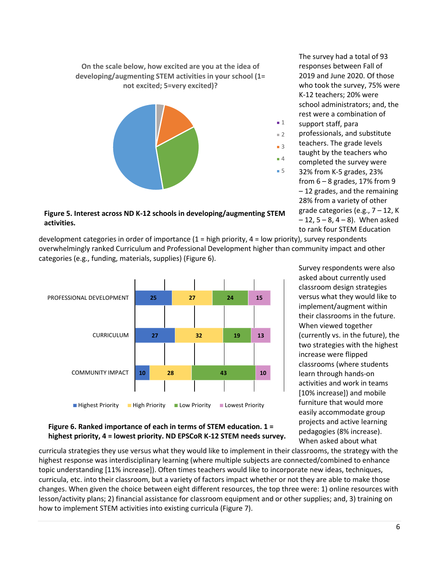**On the scale below, how excited are you at the idea of developing/augmenting STEM activities in your school (1= not excited; 5=very excited)?**



**Figure 5. Interest across ND K-12 schools in developing/augmenting STEM activities.** 

2019 and June 2020. Of those who took the survey, 75% were K-12 teachers; 20% were school administrators; and, the rest were a combination of support staff, para ■ 1

The survey had a total of 93 responses between Fall of

- professionals, and substitute
- teachers. The grade levels
- taught by the teachers who
- completed the survey were 32% from K-5 grades, 23% from  $6 - 8$  grades, 17% from 9 – 12 grades, and the remaining 28% from a variety of other grade categories (e.g.,  $7 - 12$ , K  $-12$ ,  $5 - 8$ ,  $4 - 8$ ). When asked to rank four STEM Education

development categories in order of importance  $(1 = high priority, 4 = low priority)$ , survey respondents overwhelmingly ranked Curriculum and Professional Development higher than community impact and other categories (e.g., funding, materials, supplies) (Figure 6).



Survey respondents were also asked about currently used classroom design strategies versus what they would like to implement/augment within their classrooms in the future. When viewed together (currently vs. in the future), the two strategies with the highest increase were flipped classrooms (where students learn through hands-on activities and work in teams [10% increase]) and mobile furniture that would more easily accommodate group projects and active learning pedagogies (8% increase). When asked about what

# **Figure 6. Ranked importance of each in terms of STEM education. 1 = highest priority, 4 = lowest priority. ND EPSCoR K-12 STEM needs survey.**

curricula strategies they use versus what they would like to implement in their classrooms, the strategy with the highest response was interdisciplinary learning (where multiple subjects are connected/combined to enhance topic understanding [11% increase]). Often times teachers would like to incorporate new ideas, techniques, curricula, etc. into their classroom, but a variety of factors impact whether or not they are able to make those changes. When given the choice between eight different resources, the top three were: 1) online resources with lesson/activity plans; 2) financial assistance for classroom equipment and or other supplies; and, 3) training on how to implement STEM activities into existing curricula (Figure 7).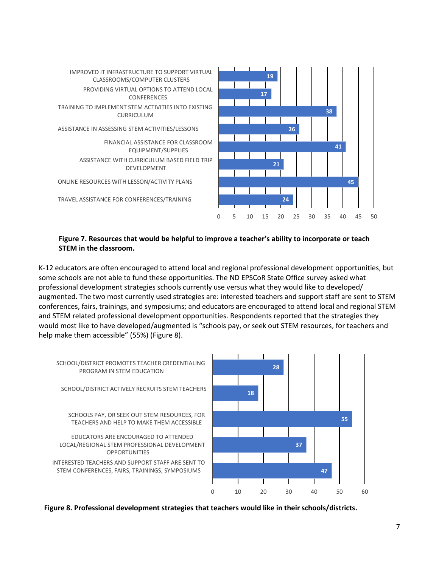

# **Figure 7. Resources that would be helpful to improve a teacher's ability to incorporate or teach STEM in the classroom.**

K-12 educators are often encouraged to attend local and regional professional development opportunities, but some schools are not able to fund these opportunities. The ND EPSCoR State Office survey asked what professional development strategies schools currently use versus what they would like to developed/ augmented. The two most currently used strategies are: interested teachers and support staff are sent to STEM conferences, fairs, trainings, and symposiums; and educators are encouraged to attend local and regional STEM and STEM related professional development opportunities. Respondents reported that the strategies they would most like to have developed/augmented is "schools pay, or seek out STEM resources, for teachers and help make them accessible" (55%) (Figure 8).



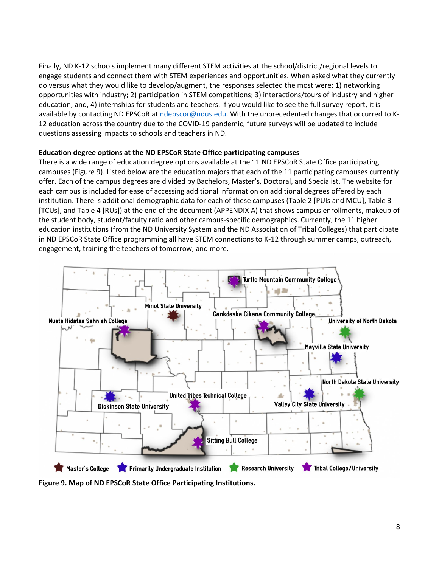Finally, ND K-12 schools implement many different STEM activities at the school/district/regional levels to engage students and connect them with STEM experiences and opportunities. When asked what they currently do versus what they would like to develop/augment, the responses selected the most were: 1) networking opportunities with industry; 2) participation in STEM competitions; 3) interactions/tours of industry and higher education; and, 4) internships for students and teachers. If you would like to see the full survey report, it is available by contacting ND EPSCoR at [ndepscor@ndus.edu.](mailto:ndepscor@ndus.edu) With the unprecedented changes that occurred to K-12 education across the country due to the COVID-19 pandemic, future surveys will be updated to include questions assessing impacts to schools and teachers in ND.

#### **Education degree options at the ND EPSCoR State Office participating campuses**

There is a wide range of education degree options available at the 11 ND EPSCoR State Office participating campuses (Figure 9). Listed below are the education majors that each of the 11 participating campuses currently offer. Each of the campus degrees are divided by Bachelors, Master's, Doctoral, and Specialist. The website for each campus is included for ease of accessing additional information on additional degrees offered by each institution. There is additional demographic data for each of these campuses (Table 2 [PUIs and MCU], Table 3 [TCUs], and Table 4 [RUs]) at the end of the document (APPENDIX A) that shows campus enrollments, makeup of the student body, student/faculty ratio and other campus-specific demographics. Currently, the 11 higher education institutions (from the ND University System and the ND Association of Tribal Colleges) that participate in ND EPSCoR State Office programming all have STEM connections to K-12 through summer camps, outreach, engagement, training the teachers of tomorrow, and more.



**Figure 9. Map of ND EPSCoR State Office Participating Institutions.**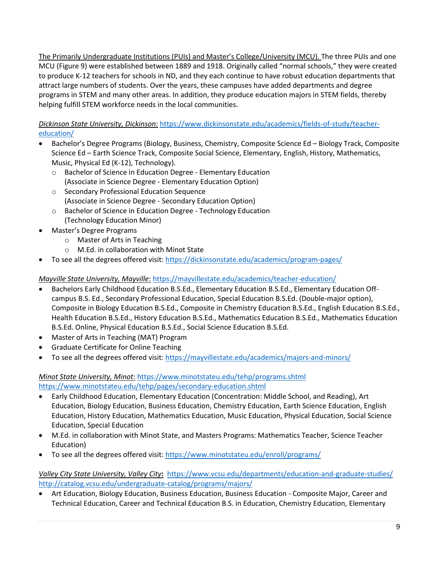The Primarily Undergraduate Institutions (PUIs) and Master's College/University (MCU). The three PUIs and one MCU (Figure 9) were established between 1889 and 1918. Originally called "normal schools," they were created to produce K-12 teachers for schools in ND, and they each continue to have robust education departments that attract large numbers of students. Over the years, these campuses have added departments and degree programs in STEM and many other areas. In addition, they produce education majors in STEM fields, thereby helping fulfill STEM workforce needs in the local communities.

*Dickinson State University, Dickinson*: [https://www.dickinsonstate.edu/academics/fields-of-study/teacher](https://www.dickinsonstate.edu/academics/fields-of-study/teacher-education/)[education/](https://www.dickinsonstate.edu/academics/fields-of-study/teacher-education/)

- Bachelor's Degree Programs (Biology, Business, Chemistry, Composite Science Ed Biology Track, Composite Science Ed – Earth Science Track, Composite Social Science, Elementary, English, History, Mathematics, Music, Physical Ed (K-12), Technology).
	- o Bachelor of Science in Education Degree Elementary Education (Associate in Science Degree - Elementary Education Option)
	- o Secondary Professional Education Sequence (Associate in Science Degree - Secondary Education Option)
	- o Bachelor of Science in Education Degree Technology Education (Technology Education Minor)
- Master's Degree Programs
	- o Master of Arts in Teaching
	- o M.Ed. in collaboration with Minot State
- To see all the degrees offered visit[: https://dickinsonstate.edu/academics/program-pages/](https://dickinsonstate.edu/academics/program-pages/)

# *Mayville State University, Mayville*: <https://mayvillestate.edu/academics/teacher-education/>

- Bachelors Early Childhood Education B.S.Ed., Elementary Education B.S.Ed., Elementary Education Offcampus B.S. Ed., Secondary Professional Education, Special Education B.S.Ed. (Double-major option), Composite in Biology Education B.S.Ed., Composite in Chemistry Education B.S.Ed., English Education B.S.Ed., Health Education B.S.Ed., History Education B.S.Ed., Mathematics Education B.S.Ed., Mathematics Education B.S.Ed. Online, Physical Education B.S.Ed., Social Science Education B.S.Ed.
- Master of Arts in Teaching (MAT) Program
- Graduate Certificate for Online Teaching
- To see all the degrees offered visit[: https://mayvillestate.edu/academics/majors-and-minors/](https://mayvillestate.edu/academics/majors-and-minors/)

*Minot State University, Minot*: <https://www.minotstateu.edu/tehp/programs.shtml> <https://www.minotstateu.edu/tehp/pages/secondary-education.shtml>

- Early Childhood Education, Elementary Education (Concentration: Middle School, and Reading), Art Education, Biology Education, Business Education, Chemistry Education, Earth Science Education, English Education, History Education, Mathematics Education, Music Education, Physical Education, Social Science Education, Special Education
- M.Ed. in collaboration with Minot State, and Masters Programs: Mathematics Teacher, Science Teacher Education)
- To see all the degrees offered visit[: https://www.minotstateu.edu/enroll/programs/](https://www.minotstateu.edu/enroll/programs/)

# *Valley City State University, Valley City***:** <https://www.vcsu.edu/departments/education-and-graduate-studies/> <http://catalog.vcsu.edu/undergraduate-catalog/programs/majors/>

• Art Education, Biology Education, Business Education, Business Education - Composite Major, Career and Technical Education, Career and Technical Education B.S. in Education, Chemistry Education, Elementary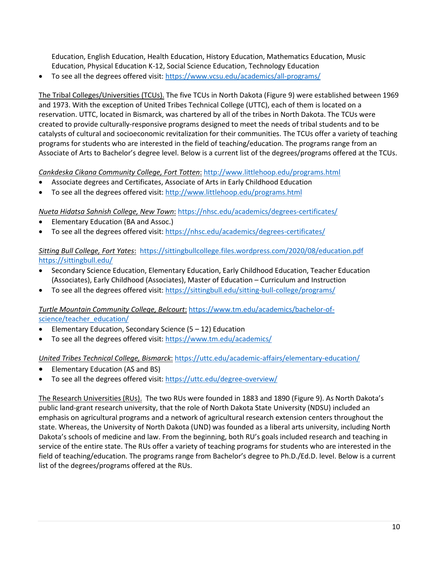Education, English Education, Health Education, History Education, Mathematics Education, Music Education, Physical Education K-12, Social Science Education, Technology Education

• To see all the degrees offered visit[: https://www.vcsu.edu/academics/all-programs/](https://www.vcsu.edu/academics/all-programs/)

The Tribal Colleges/Universities (TCUs). The five TCUs in North Dakota (Figure 9) were established between 1969 and 1973. With the exception of United Tribes Technical College (UTTC), each of them is located on a reservation. UTTC, located in Bismarck, was chartered by all of the tribes in North Dakota. The TCUs were created to provide culturally-responsive programs designed to meet the needs of tribal students and to be catalysts of cultural and socioeconomic revitalization for their communities. The TCUs offer a variety of teaching programs for students who are interested in the field of teaching/education. The programs range from an Associate of Arts to Bachelor's degree level. Below is a current list of the degrees/programs offered at the TCUs.

*Cankdeska Cikana Community College, Fort Totten*: <http://www.littlehoop.edu/programs.html>

- Associate degrees and Certificates, Associate of Arts in Early Childhood Education
- To see all the degrees offered visit[: http://www.littlehoop.edu/programs.html](http://www.littlehoop.edu/programs.html)

*Nueta Hidatsa Sahnish College, New Town*: <https://nhsc.edu/academics/degrees-certificates/>

- Elementary Education (BA and Assoc.)
- To see all the degrees offered visit[: https://nhsc.edu/academics/degrees-certificates/](https://nhsc.edu/academics/degrees-certificates/)

*Sitting Bull College, Fort Yates*: <https://sittingbullcollege.files.wordpress.com/2020/08/education.pdf> <https://sittingbull.edu/>

- Secondary Science Education, Elementary Education, Early Childhood Education, Teacher Education (Associates), Early Childhood (Associates), Master of Education – Curriculum and Instruction
- To see all the degrees offered visit[: https://sittingbull.edu/sitting-bull-college/programs/](https://sittingbull.edu/sitting-bull-college/programs/)

# *Turtle Mountain Community College, Belcourt*: [https://www.tm.edu/academics/bachelor-of](https://www.tm.edu/academics/bachelor-of-science/teacher_education/)[science/teacher\\_education/](https://www.tm.edu/academics/bachelor-of-science/teacher_education/)

- Elementary Education, Secondary Science (5 12) Education
- To see all the degrees offered visit[: https://www.tm.edu/academics/](https://www.tm.edu/academics/)

#### *United Tribes Technical College, Bismarck*: <https://uttc.edu/academic-affairs/elementary-education/>

- Elementary Education (AS and BS)
- To see all the degrees offered visit[: https://uttc.edu/degree-overview/](https://uttc.edu/degree-overview/)

The Research Universities (RUs). The two RUs were founded in 1883 and 1890 (Figure 9). As North Dakota's public land-grant research university, that the role of North Dakota State University (NDSU) included an emphasis on agricultural programs and a network of agricultural research extension centers throughout the state. Whereas, the University of North Dakota (UND) was founded as a liberal arts university, including North Dakota's schools of medicine and law. From the beginning, both RU's goals included research and teaching in service of the entire state. The RUs offer a variety of teaching programs for students who are interested in the field of teaching/education. The programs range from Bachelor's degree to Ph.D./Ed.D. level. Below is a current list of the degrees/programs offered at the RUs.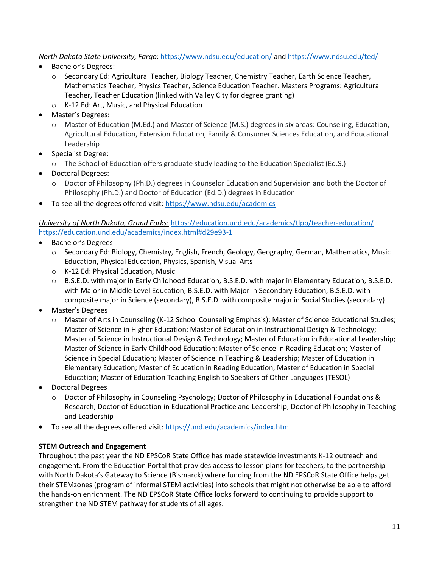# *North Dakota State University, Fargo*: <https://www.ndsu.edu/education/> an[d https://www.ndsu.edu/ted/](https://www.ndsu.edu/ted/)

- Bachelor's Degrees:
	- o Secondary Ed: Agricultural Teacher, Biology Teacher, Chemistry Teacher, Earth Science Teacher, Mathematics Teacher, Physics Teacher, Science Education Teacher. Masters Programs: Agricultural Teacher, Teacher Education (linked with Valley City for degree granting)
	- o K-12 Ed: Art, Music, and Physical Education
- Master's Degrees:
	- o Master of Education (M.Ed.) and Master of Science (M.S.) degrees in six areas: Counseling, Education, Agricultural Education, Extension Education, Family & Consumer Sciences Education, and Educational Leadership
- Specialist Degree:
	- o The School of Education offers graduate study leading to the Education Specialist (Ed.S.)
- Doctoral Degrees:
	- o Doctor of Philosophy (Ph.D.) degrees in Counselor Education and Supervision and both the Doctor of Philosophy (Ph.D.) and Doctor of Education (Ed.D.) degrees in Education
- To see all the degrees offered visit[: https://www.ndsu.edu/academics](https://www.ndsu.edu/academics)

*University of North Dakota, Grand Forks*: <https://education.und.edu/academics/tlpp/teacher-education/> <https://education.und.edu/academics/index.html#d29e93-1>

- Bachelor's Degrees
	- o Secondary Ed: Biology, Chemistry, English, French, Geology, Geography, German, Mathematics, Music Education, Physical Education, Physics, Spanish, Visual Arts
	- o K-12 Ed: Physical Education, Music
	- o B.S.E.D. with major in Early Childhood Education, B.S.E.D. with major in Elementary Education, B.S.E.D. with Major in Middle Level Education, B.S.E.D. with Major in Secondary Education, B.S.E.D. with composite major in Science (secondary), B.S.E.D. with composite major in Social Studies (secondary)
- Master's Degrees
	- o Master of Arts in Counseling (K-12 School Counseling Emphasis); Master of Science Educational Studies; Master of Science in Higher Education; Master of Education in Instructional Design & Technology; Master of Science in Instructional Design & Technology; Master of Education in Educational Leadership; Master of Science in Early Childhood Education; Master of Science in Reading Education; Master of Science in Special Education; Master of Science in Teaching & Leadership; Master of Education in Elementary Education; Master of Education in Reading Education; Master of Education in Special Education; Master of Education Teaching English to Speakers of Other Languages (TESOL)
- Doctoral Degrees
	- o Doctor of Philosophy in Counseling Psychology; Doctor of Philosophy in Educational Foundations & Research; Doctor of Education in Educational Practice and Leadership; Doctor of Philosophy in Teaching and Leadership
- To see all the degrees offered visit[: https://und.edu/academics/index.html](https://und.edu/academics/index.html)

# **STEM Outreach and Engagement**

Throughout the past year the ND EPSCoR State Office has made statewide investments K-12 outreach and engagement. From the Education Portal that provides access to lesson plans for teachers, to the partnership with North Dakota's Gateway to Science (Bismarck) where funding from the ND EPSCoR State Office helps get their STEMzones (program of informal STEM activities) into schools that might not otherwise be able to afford the hands-on enrichment. The ND EPSCoR State Office looks forward to continuing to provide support to strengthen the ND STEM pathway for students of all ages.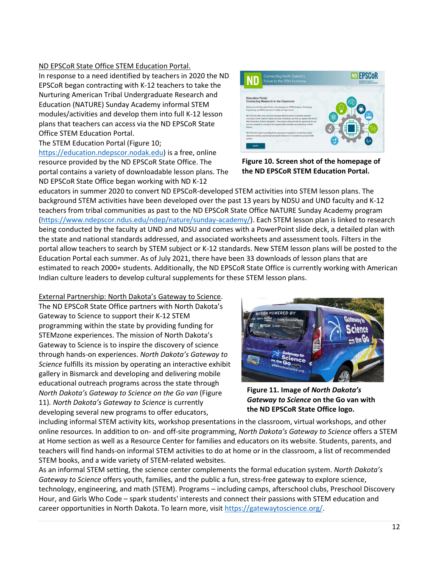# ND EPSCoR State Office STEM Education Portal.

In response to a need identified by teachers in 2020 the ND EPSCoR began contracting with K-12 teachers to take the Nurturing American Tribal Undergraduate Research and Education (NATURE) Sunday Academy informal STEM modules/activities and develop them into full K-12 lesson plans that teachers can access via the ND EPSCoR State Office STEM Education Portal.

The STEM Education Portal (Figure 10;

[https://education.ndepscor.nodak.edu\)](https://education.ndepscor.nodak.edu/) is a free, online resource provided by the ND EPSCoR State Office. The portal contains a variety of downloadable lesson plans. The ND EPSCoR State Office began working with ND K-12



**Figure 10. Screen shot of the homepage of the ND EPSCoR STEM Education Portal.**

educators in summer 2020 to convert ND EPSCoR-developed STEM activities into STEM lesson plans. The background STEM activities have been developed over the past 13 years by NDSU and UND faculty and K-12 teachers from tribal communities as past to the ND EPSCoR State Office NATURE Sunday Academy program [\(https://www.ndepscor.ndus.edu/ndep/nature/sunday-academy/\)](https://www.ndepscor.ndus.edu/ndep/nature/sunday-academy/). Each STEM lesson plan is linked to research being conducted by the faculty at UND and NDSU and comes with a PowerPoint slide deck, a detailed plan with the state and national standards addressed, and associated worksheets and assessment tools. Filters in the portal allow teachers to search by STEM subject or K-12 standards. New STEM lesson plans will be posted to the Education Portal each summer. As of July 2021, there have been 33 downloads of lesson plans that are estimated to reach 2000+ students. Additionally, the ND EPSCoR State Office is currently working with American Indian culture leaders to develop cultural supplements for these STEM lesson plans.

#### External Partnership: North Dakota's Gateway to Science.

The ND EPSCoR State Office partners with North Dakota's Gateway to Science to support their K-12 STEM programming within the state by providing funding for STEMzone experiences. The mission of North Dakota's Gateway to Science is to inspire the discovery of science through hands-on experiences. *North Dakota's Gateway to Science* fulfills its mission by operating an interactive exhibit gallery in Bismarck and developing and delivering mobile educational outreach programs across the state through *North Dakota's Gateway to Science on the Go van* (Figure 11)*. North Dakota's Gateway to Science* is currently developing several new programs to offer educators,



**Figure 11. Image of** *North Dakota's Gateway to Science* **on the Go van with the ND EPSCoR State Office logo.** 

including informal STEM activity kits, workshop presentations in the classroom, virtual workshops, and other online resources. In addition to on- and off-site programming, *North Dakota's Gateway to Science* offers a STEM at Home section as well as a Resource Center for families and educators on its website. Students, parents, and teachers will find hands-on informal STEM activities to do at home or in the classroom, a list of recommended STEM books, and a wide variety of STEM-related websites.

As an informal STEM setting, the science center complements the formal education system. *North Dakota's Gateway to Science* offers youth, families, and the public a fun, stress-free gateway to explore science, technology, engineering, and math (STEM). Programs – including camps, afterschool clubs, Preschool Discovery Hour, and Girls Who Code – spark students' interests and connect their passions with STEM education and career opportunities in North Dakota. To learn more, visit [https://gatewaytoscience.org/.](https://gatewaytoscience.org/)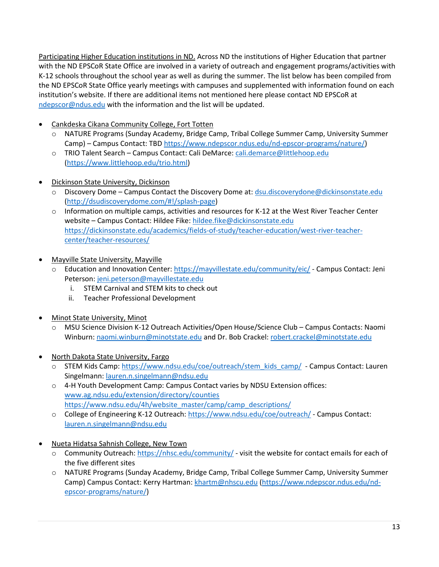Participating Higher Education institutions in ND. Across ND the institutions of Higher Education that partner with the ND EPSCoR State Office are involved in a variety of outreach and engagement programs/activities with K-12 schools throughout the school year as well as during the summer. The list below has been compiled from the ND EPSCoR State Office yearly meetings with campuses and supplemented with information found on each institution's website. If there are additional items not mentioned here please contact ND EPSCoR at [ndepscor@ndus.edu](mailto:ndepscor@ndus.edu) with the information and the list will be updated.

- Cankdeska Cikana Community College, Fort Totten
	- o NATURE Programs (Sunday Academy, Bridge Camp, Tribal College Summer Camp, University Summer Camp) – Campus Contact: TB[D https://www.ndepscor.ndus.edu/nd-epscor-programs/nature/\)](https://www.ndepscor.ndus.edu/nd-epscor-programs/nature/)
	- o TRIO Talent Search Campus Contact: Cali DeMarce: [cali.demarce@littlehoop.edu](mailto:cali.demarce@littlehoop.edu) [\(https://www.littlehoop.edu/trio.html\)](https://www.littlehoop.edu/trio.html)
- Dickinson State University, Dickinson
	- o Discovery Dome Campus Contact the Discovery Dome at[: dsu.discoverydone@dickinsonstate.edu](mailto:dsu.discoverydone@dickinsonstate.edu) [\(http://dsudiscoverydome.com/#!/splash-page\)](http://dsudiscoverydome.com/#!/splash-page)
	- $\circ$  Information on multiple camps, activities and resources for K-12 at the West River Teacher Center website - Campus Contact: Hildee Fike[: hildee.fike@dickinsonstate.edu](mailto:hildee.fike@dickinsonstate.edu) [https://dickinsonstate.edu/academics/fields-of-study/teacher-education/west-river-teacher](https://dickinsonstate.edu/academics/fields-of-study/teacher-education/west-river-teacher-center/teacher-resources/)[center/teacher-resources/](https://dickinsonstate.edu/academics/fields-of-study/teacher-education/west-river-teacher-center/teacher-resources/)
- Mayville State University, Mayville
	- o Education and Innovation Center[: https://mayvillestate.edu/community/eic/](https://mayvillestate.edu/community/eic/) Campus Contact: Jeni Peterson[: jeni.peterson@mayvillestate.edu](mailto:jeni.peterson@mayvillestate.edu)
		- i. STEM Carnival and STEM kits to check out
		- ii. Teacher Professional Development
- Minot State University, Minot
	- o MSU Science Division K-12 Outreach Activities/Open House/Science Club Campus Contacts: Naomi Winburn[: naomi.winburn@minotstate.edu](mailto:naomi.winburn@minotstate.edu) and Dr. Bob Crackel: [robert.crackel@minotstate.edu](mailto:robert.crackel@minotstate.edu)
- North Dakota State University, Fargo
	- o STEM Kids Camp[: https://www.ndsu.edu/coe/outreach/stem\\_kids\\_camp/](https://www.ndsu.edu/coe/outreach/stem_kids_camp/)  Campus Contact: Lauren Singelmann[: lauren.n.singelmann@ndsu.edu](mailto:lauren.n.singelmann@ndsu.edu)
	- o 4-H Youth Development Camp: Campus Contact varies by NDSU Extension offices: [www.ag.ndsu.edu/extension/directory/counties](http://www.ag.ndsu.edu/extension/directory/counties) [https://www.ndsu.edu/4h/website\\_master/camp/camp\\_descriptions/](https://www.ndsu.edu/4h/website_master/camp/camp_descriptions/)
	- o College of Engineering K-12 Outreach:<https://www.ndsu.edu/coe/outreach/> Campus Contact: [lauren.n.singelmann@ndsu.edu](mailto:lauren.n.singelmann@ndsu.edu)
- Nueta Hidatsa Sahnish College, New Town
	- o Community Outreach[: https://nhsc.edu/community/](https://nhsc.edu/community/) visit the website for contact emails for each of the five different sites
	- o NATURE Programs (Sunday Academy, Bridge Camp, Tribal College Summer Camp, University Summer Camp) Campus Contact: Kerry Hartman: [khartm@nhscu.edu](mailto:khartm@nhscu.edu) [\(https://www.ndepscor.ndus.edu/nd](https://www.ndepscor.ndus.edu/nd-epscor-programs/nature/)[epscor-programs/nature/\)](https://www.ndepscor.ndus.edu/nd-epscor-programs/nature/)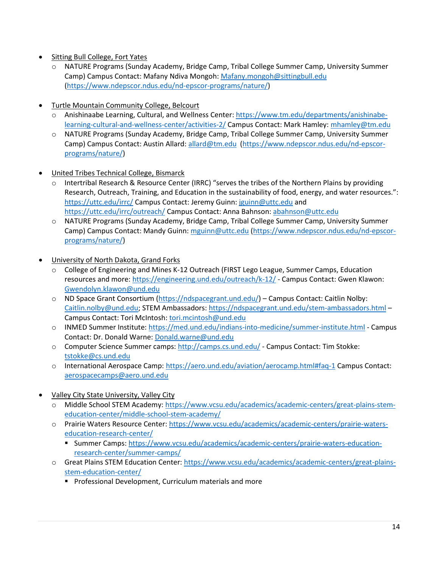- Sitting Bull College, Fort Yates
	- o NATURE Programs (Sunday Academy, Bridge Camp, Tribal College Summer Camp, University Summer Camp) Campus Contact: Mafany Ndiva Mongoh: [Mafany.mongoh@sittingbull.edu](mailto:Mafany.mongoh@sittingbull.edu) [\(https://www.ndepscor.ndus.edu/nd-epscor-programs/nature/\)](https://www.ndepscor.ndus.edu/nd-epscor-programs/nature/)
- Turtle Mountain Community College, Belcourt
	- o Anishinaabe Learning, Cultural, and Wellness Center: [https://www.tm.edu/departments/anishinabe](https://www.tm.edu/departments/anishinabe-learning-cultural-and-wellness-center/activities-2/)[learning-cultural-and-wellness-center/activities-2/](https://www.tm.edu/departments/anishinabe-learning-cultural-and-wellness-center/activities-2/) Campus Contact: Mark Hamley: [mhamley@tm.edu](mailto:mhamley@tm.edu)
	- o NATURE Programs (Sunday Academy, Bridge Camp, Tribal College Summer Camp, University Summer Camp) Campus Contact: Austin Allard[: allard@tm.edu](mailto:allard@tm.edu) [\(https://www.ndepscor.ndus.edu/nd-epscor](https://www.ndepscor.ndus.edu/nd-epscor-programs/nature/)[programs/nature/\)](https://www.ndepscor.ndus.edu/nd-epscor-programs/nature/)
- United Tribes Technical College, Bismarck
	- $\circ$  Intertribal Research & Resource Center (IRRC) "serves the tribes of the Northern Plains by providing Research, Outreach, Training, and Education in the sustainability of food, energy, and water resources.": <https://uttc.edu/irrc/> Campus Contact: Jeremy Guinn: [jguinn@uttc.edu](mailto:jguinn@uttc.edu) and <https://uttc.edu/irrc/outreach/> Campus Contact: Anna Bahnson: [abahnson@uttc.edu](mailto:abahnson@uttc.edu)
	- o NATURE Programs (Sunday Academy, Bridge Camp, Tribal College Summer Camp, University Summer Camp) Campus Contact: Mandy Guinn: [mguinn@uttc.edu](mailto:mguinn@uttc.edu) [\(https://www.ndepscor.ndus.edu/nd-epscor](https://www.ndepscor.ndus.edu/nd-epscor-programs/nature/)[programs/nature/\)](https://www.ndepscor.ndus.edu/nd-epscor-programs/nature/)
- University of North Dakota, Grand Forks
	- o College of Engineering and Mines K-12 Outreach (FIRST Lego League, Summer Camps, Education resources and more[: https://engineering.und.edu/outreach/k-12/](https://engineering.und.edu/outreach/k-12/) - Campus Contact: Gwen Klawon: [Gwendolyn.klawon@und.edu](mailto:Gwendolyn.klawon@und.edu)
	- o ND Space Grant Consortium [\(https://ndspacegrant.und.edu/\)](https://ndspacegrant.und.edu/) Campus Contact: Caitlin Nolby: [Caitlin.nolby@und.edu;](mailto:Caitlin.nolby@und.edu) STEM Ambassadors:<https://ndspacegrant.und.edu/stem-ambassadors.html> – Campus Contact: Tori McIntosh: [tori.mcintosh@und.edu](mailto:tori.mcintosh@und.edu)
	- o INMED Summer Institute:<https://med.und.edu/indians-into-medicine/summer-institute.html> Campus Contact: Dr. Donald Warne: [Donald.warne@und.edu](mailto:Donald.warne@und.edu)
	- o Computer Science Summer camps:<http://camps.cs.und.edu/> Campus Contact: Tim Stokke: [tstokke@cs.und.edu](mailto:tstokke@cs.und.edu)
	- o International Aerospace Camp:<https://aero.und.edu/aviation/aerocamp.html#faq-1> Campus Contact: [aerospacecamps@aero.und.edu](mailto:aerospacecamps@aero.und.edu)
- Valley City State University, Valley City
	- o Middle School STEM Academy[: https://www.vcsu.edu/academics/academic-centers/great-plains-stem](https://www.vcsu.edu/academics/academic-centers/great-plains-stem-education-center/middle-school-stem-academy/)[education-center/middle-school-stem-academy/](https://www.vcsu.edu/academics/academic-centers/great-plains-stem-education-center/middle-school-stem-academy/)
	- o Prairie Waters Resource Center: [https://www.vcsu.edu/academics/academic-centers/prairie-waters](https://www.vcsu.edu/academics/academic-centers/prairie-waters-education-research-center/)[education-research-center/](https://www.vcsu.edu/academics/academic-centers/prairie-waters-education-research-center/)
		- **E** Summer Camps: [https://www.vcsu.edu/academics/academic-centers/prairie-waters-education](https://www.vcsu.edu/academics/academic-centers/prairie-waters-education-research-center/summer-camps/)[research-center/summer-camps/](https://www.vcsu.edu/academics/academic-centers/prairie-waters-education-research-center/summer-camps/)
	- o Great Plains STEM Education Center[: https://www.vcsu.edu/academics/academic-centers/great-plains](https://www.vcsu.edu/academics/academic-centers/great-plains-stem-education-center/)[stem-education-center/](https://www.vcsu.edu/academics/academic-centers/great-plains-stem-education-center/)
		- Professional Development, Curriculum materials and more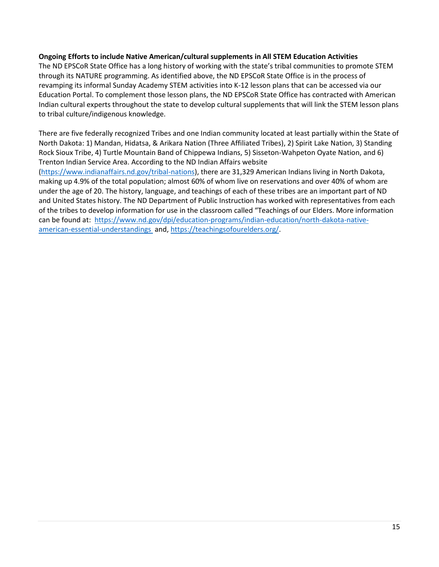#### **Ongoing Efforts to include Native American/cultural supplements in All STEM Education Activities**

The ND EPSCoR State Office has a long history of working with the state's tribal communities to promote STEM through its NATURE programming. As identified above, the ND EPSCoR State Office is in the process of revamping its informal Sunday Academy STEM activities into K-12 lesson plans that can be accessed via our Education Portal. To complement those lesson plans, the ND EPSCoR State Office has contracted with American Indian cultural experts throughout the state to develop cultural supplements that will link the STEM lesson plans to tribal culture/indigenous knowledge.

There are five federally recognized Tribes and one Indian community located at least partially within the State of North Dakota: 1) Mandan, Hidatsa, & Arikara Nation (Three Affiliated Tribes), 2) Spirit Lake Nation, 3) Standing Rock Sioux Tribe, 4) Turtle Mountain Band of Chippewa Indians, 5) Sisseton-Wahpeton Oyate Nation, and 6) Trenton Indian Service Area. According to the ND Indian Affairs website

[\(https://www.indianaffairs.nd.gov/tribal-nations\)](https://www.indianaffairs.nd.gov/tribal-nations), there are 31,329 American Indians living in North Dakota, making up 4.9% of the total population; almost 60% of whom live on reservations and over 40% of whom are under the age of 20. The history, language, and teachings of each of these tribes are an important part of ND and United States history. The ND Department of Public Instruction has worked with representatives from each of the tribes to develop information for use in the classroom called "Teachings of our Elders. More information can be found at: [https://www.nd.gov/dpi/education-programs/indian-education/north-dakota-native](https://www.nd.gov/dpi/education-programs/indian-education/north-dakota-native-american-essential-understandings)[american-essential-understandings](https://www.nd.gov/dpi/education-programs/indian-education/north-dakota-native-american-essential-understandings) and, [https://teachingsofourelders.org/.](https://teachingsofourelders.org/)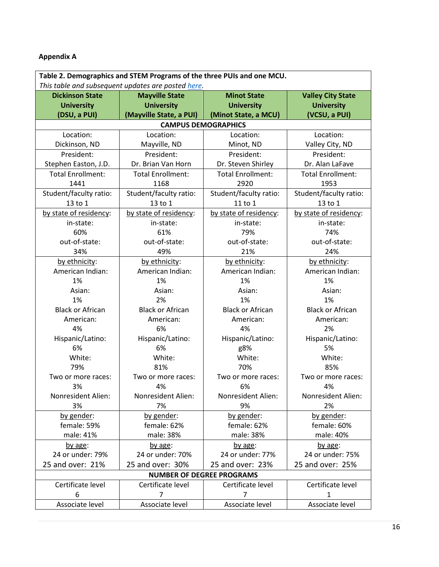# **Appendix A**

| Table 2. Demographics and STEM Programs of the three PUIs and one MCU. |                                             |                              |                          |  |  |
|------------------------------------------------------------------------|---------------------------------------------|------------------------------|--------------------------|--|--|
| This table and subsequent updates are posted here.                     |                                             |                              |                          |  |  |
| <b>Dickinson State</b>                                                 | <b>Minot State</b><br><b>Mayville State</b> |                              | <b>Valley City State</b> |  |  |
| <b>University</b>                                                      | <b>University</b>                           | <b>University</b>            | <b>University</b>        |  |  |
| (DSU, a PUI)                                                           | (Mayville State, a PUI)                     | (Minot State, a MCU)         | (VCSU, a PUI)            |  |  |
|                                                                        |                                             | <b>CAMPUS DEMOGRAPHICS</b>   |                          |  |  |
| Location:                                                              | Location:<br>Location:                      |                              | Location:                |  |  |
| Dickinson, ND                                                          | Mayville, ND                                | Minot, ND<br>Valley City, ND |                          |  |  |
| President:                                                             | President:                                  | President:                   | President:               |  |  |
| Stephen Easton, J.D.                                                   | Dr. Brian Van Horn                          | Dr. Steven Shirley           | Dr. Alan LaFave          |  |  |
| <b>Total Enrollment:</b>                                               | <b>Total Enrollment:</b>                    | <b>Total Enrollment:</b>     | <b>Total Enrollment:</b> |  |  |
| 1441                                                                   | 1168                                        | 2920                         | 1953                     |  |  |
| Student/faculty ratio:                                                 | Student/faculty ratio:                      | Student/faculty ratio:       | Student/faculty ratio:   |  |  |
| 13 to 1                                                                | 13 to 1                                     | 11 to 1                      | 13 to 1                  |  |  |
| by state of residency:                                                 | by state of residency:                      | by state of residency:       | by state of residency:   |  |  |
| in-state:                                                              | in-state:                                   | in-state:                    | in-state:                |  |  |
| 60%                                                                    | 61%                                         | 79%                          | 74%                      |  |  |
| out-of-state:                                                          | out-of-state:                               | out-of-state:                | out-of-state:            |  |  |
| 34%                                                                    | 49%                                         | 21%                          | 24%                      |  |  |
| by ethnicity:                                                          | by ethnicity:                               | by ethnicity:                | by ethnicity:            |  |  |
| American Indian:                                                       | American Indian:                            | American Indian:             | American Indian:         |  |  |
| 1%                                                                     | 1%                                          | 1%                           | 1%                       |  |  |
| Asian:                                                                 | Asian:                                      | Asian:                       | Asian:                   |  |  |
| 1%                                                                     | 2%                                          | 1%                           | 1%                       |  |  |
| <b>Black or African</b>                                                | <b>Black or African</b>                     | <b>Black or African</b>      | <b>Black or African</b>  |  |  |
| American:                                                              | American:                                   | American:                    | American:                |  |  |
| 4%                                                                     | 6%                                          | 4%                           | 2%                       |  |  |
| Hispanic/Latino:                                                       | Hispanic/Latino:                            | Hispanic/Latino:             | Hispanic/Latino:         |  |  |
| 6%                                                                     | 6%                                          | g8%                          | 5%                       |  |  |
| White:                                                                 | White:                                      | White:                       | White:                   |  |  |
| 79%                                                                    | 81%                                         | 70%                          | 85%                      |  |  |
| Two or more races:                                                     | Two or more races:                          | Two or more races:           | Two or more races:       |  |  |
| 3%                                                                     | 4%                                          | 6%                           | 4%                       |  |  |
| Nonresident Alien:                                                     | Nonresident Alien:                          | Nonresident Alien:           | Nonresident Alien:       |  |  |
| 3%                                                                     | 7%                                          | 9%                           | 2%                       |  |  |
| by gender:                                                             | by gender:                                  | by gender:                   | by gender:               |  |  |
| female: 59%                                                            | female: 62%                                 | female: 62%                  | female: 60%              |  |  |
| male: 41%                                                              | male: 38%                                   | male: 38%                    | male: 40%                |  |  |
| by age:                                                                | by age:                                     | by age:                      | by age:                  |  |  |
| 24 or under: 79%                                                       | 24 or under: 70%                            | 24 or under: 77%             | 24 or under: 75%         |  |  |
| 25 and over: 21%                                                       | 25 and over: 30%                            | 25 and over: 23%             | 25 and over: 25%         |  |  |
| <b>NUMBER OF DEGREE PROGRAMS</b>                                       |                                             |                              |                          |  |  |
| Certificate level                                                      | Certificate level                           | Certificate level            | Certificate level        |  |  |
| 6                                                                      | 7                                           | 7                            | 1                        |  |  |
| Associate level                                                        | Associate level                             | Associate level              | Associate level          |  |  |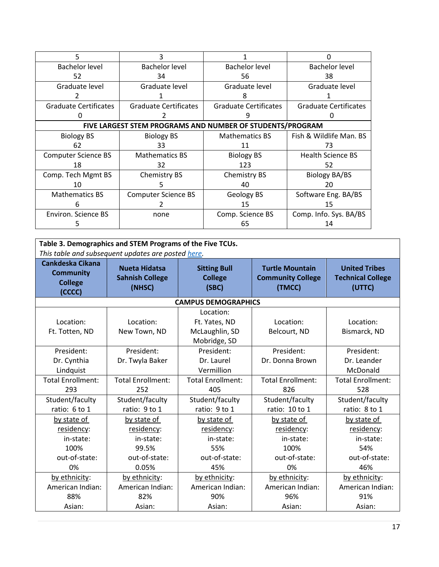| 5                                                         | 3                            |                              |                              |  |  |
|-----------------------------------------------------------|------------------------------|------------------------------|------------------------------|--|--|
| Bachelor level                                            | <b>Bachelor level</b>        | Bachelor level               | Bachelor level               |  |  |
| 52                                                        | 34                           | 56                           | 38                           |  |  |
| Graduate level                                            | Graduate level               | Graduate level               | Graduate level               |  |  |
|                                                           |                              |                              |                              |  |  |
| <b>Graduate Certificates</b>                              | <b>Graduate Certificates</b> | <b>Graduate Certificates</b> | <b>Graduate Certificates</b> |  |  |
|                                                           |                              |                              |                              |  |  |
| FIVE LARGEST STEM PROGRAMS AND NUMBER OF STUDENTS/PROGRAM |                              |                              |                              |  |  |
| <b>Biology BS</b>                                         | <b>Biology BS</b>            | <b>Mathematics BS</b>        | Fish & Wildlife Man. BS      |  |  |
| 62                                                        | 33                           | 11                           | 73                           |  |  |
| <b>Computer Science BS</b>                                | <b>Mathematics BS</b>        | <b>Biology BS</b>            | <b>Health Science BS</b>     |  |  |
| 18                                                        | 32                           | 123                          | 52                           |  |  |
| Comp. Tech Mgmt BS                                        | Chemistry BS                 | Chemistry BS                 | <b>Biology BA/BS</b>         |  |  |
| 10                                                        |                              | 40                           | 20                           |  |  |
| <b>Mathematics BS</b>                                     | <b>Computer Science BS</b>   | Geology BS                   | Software Eng. BA/BS          |  |  |
| h                                                         |                              | 15                           | 15                           |  |  |
| <b>Environ. Science BS</b>                                | none                         | Comp. Science BS             | Comp. Info. Sys. BA/BS       |  |  |
|                                                           |                              | 65                           | 14                           |  |  |

| Table 3. Demographics and STEM Programs of the Five TCUs.<br>This table and subsequent updates are posted here. |                                                          |                                                              |                                                              |                                                            |
|-----------------------------------------------------------------------------------------------------------------|----------------------------------------------------------|--------------------------------------------------------------|--------------------------------------------------------------|------------------------------------------------------------|
| Cankdeska Cikana<br><b>Community</b><br><b>College</b><br>(CCCC)                                                | <b>Nueta Hidatsa</b><br><b>Sahnish College</b><br>(NHSC) | <b>Sitting Bull</b><br><b>College</b><br>(SBC)               | <b>Turtle Mountain</b><br><b>Community College</b><br>(TMCC) | <b>United Tribes</b><br><b>Technical College</b><br>(UTTC) |
|                                                                                                                 |                                                          | <b>CAMPUS DEMOGRAPHICS</b>                                   |                                                              |                                                            |
| Location:<br>Ft. Totten, ND                                                                                     | Location:<br>New Town, ND                                | Location:<br>Ft. Yates, ND<br>McLaughlin, SD<br>Mobridge, SD | Location:<br>Belcourt, ND                                    | Location:<br>Bismarck, ND                                  |
| President:<br>Dr. Cynthia<br>Lindquist                                                                          | President:<br>Dr. Twyla Baker                            | President:<br>Dr. Laurel<br>Vermillion                       | President:<br>Dr. Donna Brown                                | President:<br>Dr. Leander<br>McDonald                      |
| <b>Total Enrollment:</b>                                                                                        | <b>Total Enrollment:</b>                                 | <b>Total Enrollment:</b>                                     | <b>Total Enrollment:</b>                                     | <b>Total Enrollment:</b>                                   |
| 293                                                                                                             | 252                                                      | 405                                                          | 826                                                          | 528                                                        |
| Student/faculty                                                                                                 | Student/faculty                                          | Student/faculty                                              | Student/faculty                                              | Student/faculty                                            |
| ratio: 6 to 1                                                                                                   | ratio: 9 to 1                                            | ratio: 9 to 1                                                | ratio: 10 to 1                                               | ratio: 8 to 1                                              |
| by state of                                                                                                     | by state of                                              | by state of                                                  | by state of                                                  | by state of                                                |
| residency:                                                                                                      | residency:                                               | residency:                                                   | residency:                                                   | residency:                                                 |
| in-state:                                                                                                       | in-state:                                                | in-state:                                                    | in-state:                                                    | in-state:                                                  |
| 100%                                                                                                            | 99.5%                                                    | 55%                                                          | 100%                                                         | 54%                                                        |
| out-of-state:                                                                                                   | out-of-state:                                            | out-of-state:                                                | out-of-state:                                                | out-of-state:                                              |
| 0%                                                                                                              | 0.05%                                                    | 45%                                                          | 0%                                                           | 46%                                                        |
| by ethnicity:                                                                                                   | by ethnicity:                                            | by ethnicity:                                                | by ethnicity:                                                | by ethnicity:                                              |
| American Indian:                                                                                                | American Indian:                                         | American Indian:                                             | American Indian:                                             | American Indian:                                           |
| 88%                                                                                                             | 82%                                                      | 90%                                                          | 96%                                                          | 91%                                                        |
| Asian:                                                                                                          | Asian:                                                   | Asian:                                                       | Asian:                                                       | Asian:                                                     |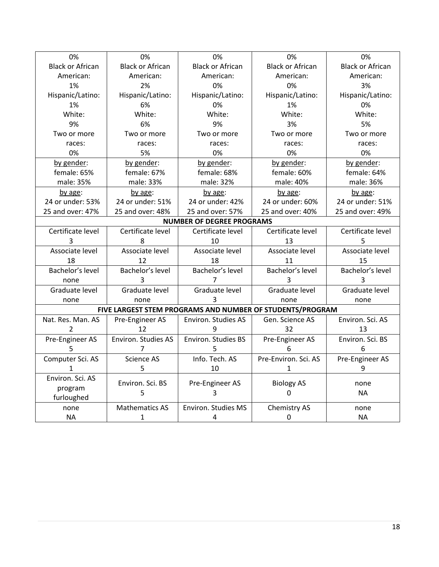| 0%                      | 0%                                                        | 0%                         | 0%                      | 0%                      |  |
|-------------------------|-----------------------------------------------------------|----------------------------|-------------------------|-------------------------|--|
| <b>Black or African</b> | <b>Black or African</b>                                   | <b>Black or African</b>    | <b>Black or African</b> | <b>Black or African</b> |  |
| American:               | American:                                                 | American:                  | American:               | American:               |  |
| 1%                      | 2%                                                        | 0%                         | 0%                      | 3%                      |  |
| Hispanic/Latino:        | Hispanic/Latino:                                          | Hispanic/Latino:           | Hispanic/Latino:        | Hispanic/Latino:        |  |
| 1%                      | 6%                                                        | 0%                         | 1%                      | 0%                      |  |
| White:                  | White:                                                    | White:                     | White:                  | White:                  |  |
| 9%                      | 6%                                                        | 9%                         | 3%                      | 5%                      |  |
| Two or more             | Two or more                                               | Two or more                | Two or more             | Two or more             |  |
| races:                  | races:                                                    | races:                     | races:                  | races:                  |  |
| 0%                      | 5%                                                        | 0%                         | 0%                      | 0%                      |  |
| by gender:              | by gender:                                                | by gender:                 | by gender:              | by gender:              |  |
| female: 65%             | female: 67%                                               | female: 68%                | female: 60%             | female: 64%             |  |
| male: 35%               | male: 33%                                                 | male: 32%                  | male: 40%               | male: 36%               |  |
| by age:                 | by age:                                                   | by age:                    | by age:                 | by age:                 |  |
| 24 or under: 53%        | 24 or under: 51%                                          | 24 or under: 42%           | 24 or under: 60%        | 24 or under: 51%        |  |
| 25 and over: 47%        | 25 and over: 48%                                          | 25 and over: 57%           | 25 and over: 40%        | 25 and over: 49%        |  |
|                         | <b>NUMBER OF DEGREE PROGRAMS</b>                          |                            |                         |                         |  |
| Certificate level       | Certificate level                                         | Certificate level          | Certificate level       | Certificate level       |  |
| 3                       | 8                                                         | 10                         | 13                      | 5                       |  |
| Associate level         | Associate level                                           | Associate level            | Associate level         | Associate level         |  |
| 18                      | 12                                                        | 18                         | 11                      | 15                      |  |
| Bachelor's level        | Bachelor's level                                          | Bachelor's level           | Bachelor's level        | Bachelor's level        |  |
| none                    | 3                                                         | 7                          | 3                       | 3                       |  |
| Graduate level          | Graduate level                                            | Graduate level             | Graduate level          | Graduate level          |  |
| none                    | none                                                      | 3                          | none                    | none                    |  |
|                         | FIVE LARGEST STEM PROGRAMS AND NUMBER OF STUDENTS/PROGRAM |                            |                         |                         |  |
| Nat. Res. Man. AS       | Pre-Engineer AS                                           | <b>Environ. Studies AS</b> | Gen. Science AS         | Environ. Sci. AS        |  |
| $\overline{2}$          | 12                                                        | 9                          | 32                      | 13                      |  |
| Pre-Engineer AS         | Environ. Studies AS                                       | Environ. Studies BS        | Pre-Engineer AS         | Environ. Sci. BS        |  |
| 5                       | 7                                                         | 5                          | 6                       | 6                       |  |
| Computer Sci. AS        | Science AS                                                | Info. Tech. AS             | Pre-Environ. Sci. AS    | Pre-Engineer AS         |  |
| 1                       | 5                                                         | 10                         | 1                       | 9                       |  |
| Environ. Sci. AS        | Environ. Sci. BS                                          | Pre-Engineer AS            | <b>Biology AS</b>       | none                    |  |
| program                 | 5                                                         | 3                          | 0                       | <b>NA</b>               |  |
| furloughed              |                                                           |                            |                         |                         |  |
| none                    | <b>Mathematics AS</b>                                     | Environ. Studies MS        | Chemistry AS            | none                    |  |
| <b>NA</b>               | $\mathbf{1}$                                              | 4                          | 0                       | <b>NA</b>               |  |
|                         |                                                           |                            |                         |                         |  |